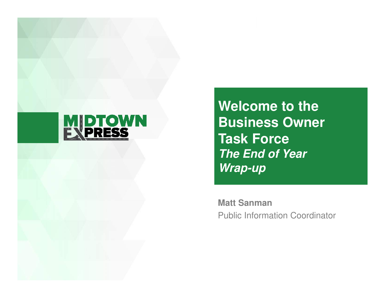

**Welcome to the Business OwnerTask Force The End of Year Wrap-up**

**Matt Sanman** Public Information Coordinator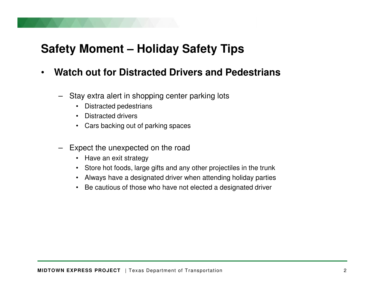## **Safety Moment – Holiday Safety Tips**

#### •**Watch out for Distracted Drivers and Pedestrians**

- – Stay extra alert in shopping center parking lots
	- Distracted pedestrians
	- Distracted drivers
	- Cars backing out of parking spaces
- Expect the unexpected on the road
	- Have an exit strategy
	- Store hot foods, large gifts and any other projectiles in the trunk
	- Always have a designated driver when attending holiday parties
	- Be cautious of those who have not elected a designated driver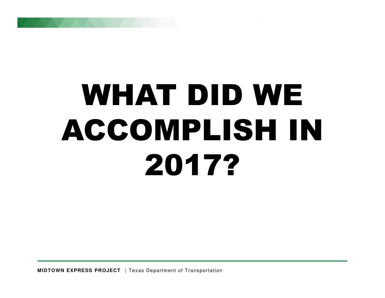## WHAT DID WE ACCOMPLISH IN 2017?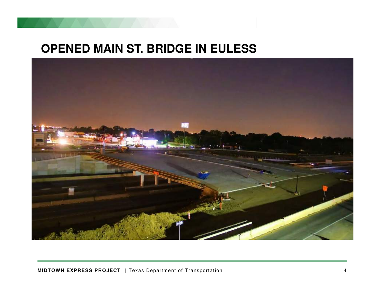## **OPENED MAIN ST. BRIDGE IN EULESS**

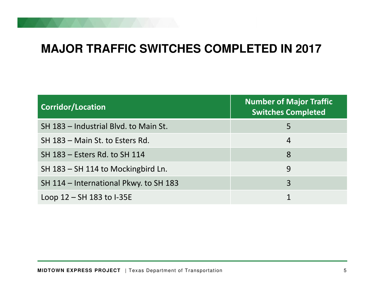## **MAJOR TRAFFIC SWITCHES COMPLETED IN 2017**

| <b>Corridor/Location</b>               | <b>Number of Major Traffic</b><br><b>Switches Completed</b> |
|----------------------------------------|-------------------------------------------------------------|
| SH 183 – Industrial Blvd. to Main St.  | 5                                                           |
| SH 183 – Main St. to Esters Rd.        | 4                                                           |
| SH 183 - Esters Rd. to SH 114          | 8                                                           |
| SH 183 – SH 114 to Mockingbird Ln.     | 9                                                           |
| SH 114 – International Pkwy. to SH 183 | 3                                                           |
| Loop 12 – SH 183 to I-35E              |                                                             |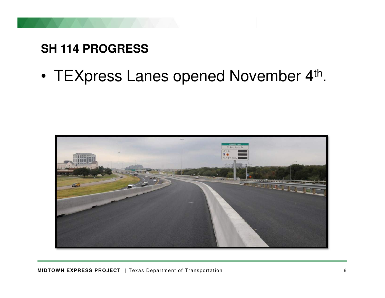

## **SH 114 PROGRESS**

•TEXpress Lanes opened November 4<sup>th</sup>.

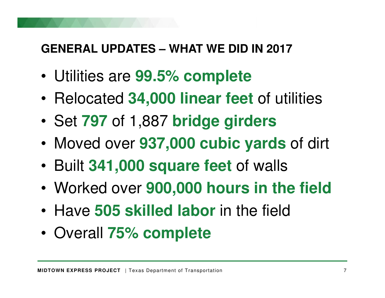## **GENERAL UPDATES – WHAT WE DID IN 2017**

- •Utilities are **99.5% complete**
- •Relocated **34,000 linear feet** of utilities
- •Set **797** of 1,887 **bridge girders**
- •Moved over **937,000 cubic yards** of dirt
- •Built **341,000 square feet** of walls
- •Worked over **900,000 hours in the field**
- •Have **505 skilled labor** in the field
- •Overall **75% complete**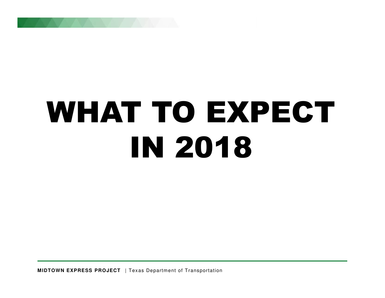

## WHAT TO EXPECT IN 2018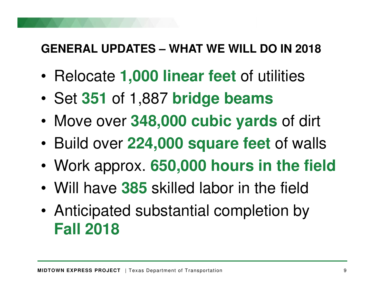## **GENERAL UPDATES – WHAT WE WILL DO IN 2018**

- •Relocate **1,000 linear feet** of utilities
- •Set **351** of 1,887 **bridge beams**
- •Move over **348,000 cubic yards** of dirt
- •Build over **224,000 square feet** of walls
- •Work approx. **650,000 hours in the field**
- •Will have **385** skilled labor in the field
- • Anticipated substantial completion by **Fall 2018**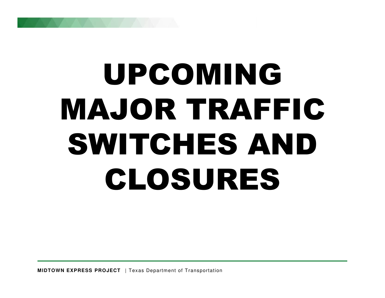## UPCOMING MAJOR TRAFFIC SWITCHES AND CLOSURES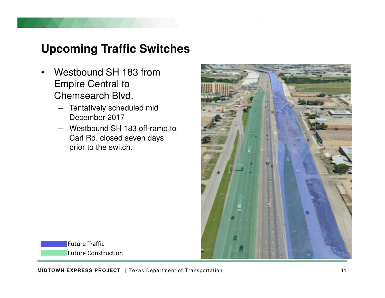- • Westbound SH 183 from Empire Central to Chemsearch Blvd.
	- – Tentatively scheduled mid December 2017
	- Westbound SH 183 off-ramp to Carl Rd. closed seven days prior to the switch.



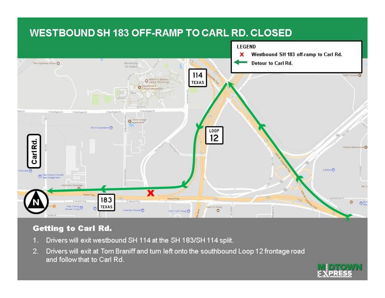

#### **Getting to Carl Rd.**

- Drivers will exit westbound SH 114 at the SH 183/SH 114 split.  $1.$
- $2<sup>2</sup>$ Drivers will exit at Tom Braniff and turn left onto the southbound Loop 12 frontage road and follow that to Carl Rd.

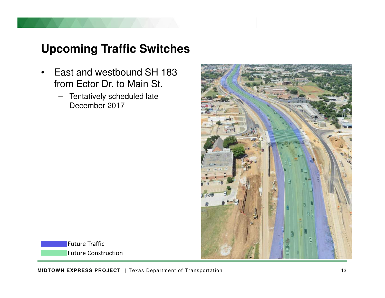- • East and westbound SH 183 from Ector Dr. to Main St.
	- – Tentatively scheduled late December 2017



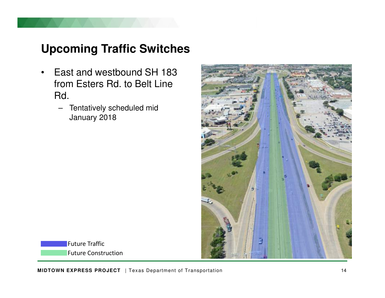- • East and westbound SH 183 from Esters Rd. to Belt Line Rd.
	- – Tentatively scheduled mid January 2018



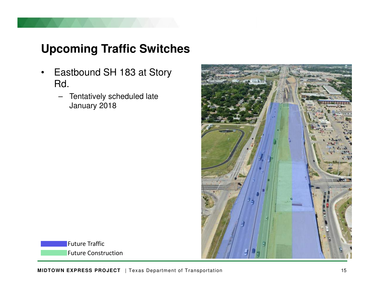- $\bullet$  Eastbound SH 183 at Story Rd.
	- – Tentatively scheduled late January 2018



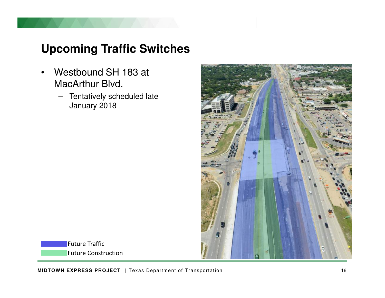- • Westbound SH 183 at MacArthur Blvd.
	- – Tentatively scheduled late January 2018



Future Construction Future Traffic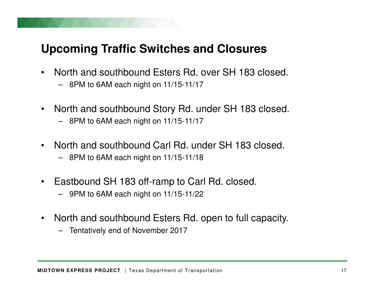### **Upcoming Traffic Switches and Closures**

- • North and southbound Esters Rd. over SH 183 closed.
	- 8PM to 6AM each night on 11/15-11/17
- • North and southbound Story Rd. under SH 183 closed.
	- 8PM to 6AM each night on 11/15-11/17
- • North and southbound Carl Rd. under SH 183 closed.
	- 8PM to 6AM each night on 11/15-11/18
- $\bullet$  Eastbound SH 183 off-ramp to Carl Rd. closed.
	- 9PM to 6AM each night on 11/15-11/22
- $\bullet$  North and southbound Esters Rd. open to full capacity.
	- Tentatively end of November 2017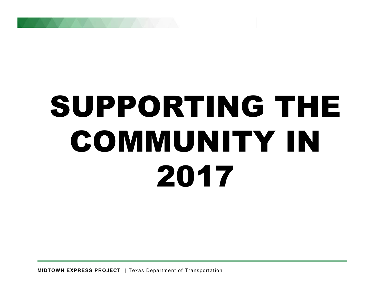## SUPPORTING THE COMMUNITY IN 2017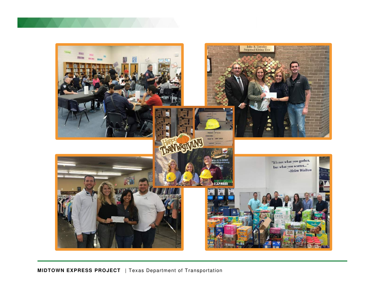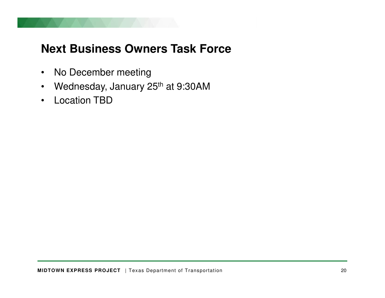### **Next Business Owners Task Force**

- $\bullet$ No December meeting
- Wednesday, January 25<sup>th</sup> at 9:30AM  $\bullet$
- $\bullet$ Location TBD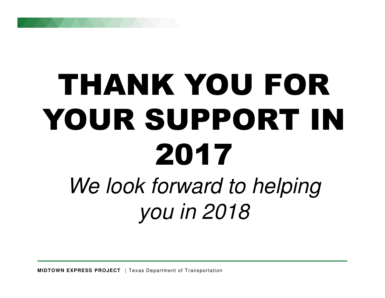## THANK YOU FOR YOUR SUPPORT IN 2017

We look forward to helping you in 2018